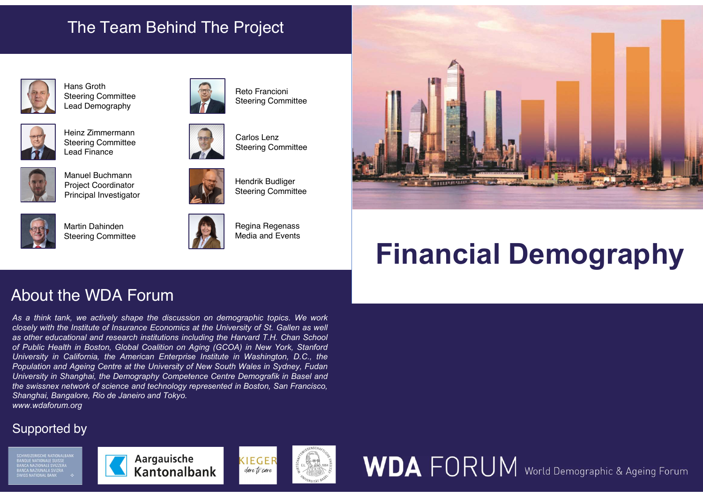# The Team Behind The Project



Hans Groth Steering Committee Lead Demography



Heinz Zimmermann Steering Committee Lead Finance



Manuel Buchmann Project Coordinator



Martin Dahinden Steering Committee



Regina Regenass Media and Events

Hendrik Budliger Steering Committee

Steering Committee

Reto Francioni Steering Committee

Carlos Lenz



# Financial Demography

Mans Groth<br>
Steering Committee<br>
Lead Demography<br>
Heinz Zimmermann<br>
Steering Committee<br>
Lead Finance<br>
Manuel Buchmann<br>
Project Coordinator<br>
Principal Investigator<br>
Matrin Dahinden<br>
Steering Committee<br>
Matrin Dahinden<br>
Steer as the internal and research institutional and research institutional and research institutional and research institutions in the America Coordinator of the Harvard T.H. Chan School and Fourier and Fourier and Fourier and Stand Finance<br>
Manufacturis Health in Boston, Global Coalition on Aging Committee<br>
Principal Investigator<br>
Martin Dahinden<br>
Stooring Committee<br>
Stooring Committee<br>
About the WDA Forum<br>
About the WDA Forum<br>
About the WDA Fo University in California, the American Enterprise Steeling Committee<br>
Manuel Buchmann<br>
Principal Inversity in California, Budington, Steeling Committee<br>
Manuel Detroited (Second) Steeling Committee<br>
Manuel Detroited in Was Population and Agents Condition and Centre at the University of New South Of New South Of New South Of New South Wales in Straight Centre at the University of New South Wales and Events and Events and Events and Events and Manuel Buchmann<br>
Principal Inversity of the Coordinator<br>
Marin Dahinden<br>
Shoring Committee<br>
Shoring Committee<br>
Shoring Committee<br>
Shoring Committee<br>
Shoring Committee<br>
About the WDA Forum<br>
As a think tank we actively shape Martin Chinder<br>
Prioripal Howardscore<br>
Sheering Committee<br>
Sheering Committee<br>
About the WDA Forrum<br>
As a think tank, we actively shape the discussion on demographic topics. We work<br>
a struck tank, we actively shape the di **Examples Condinator**<br> **Shanghai Investigator**<br> **Shanghai Investigator**<br> **Shanghai Investigator**<br> **Shanghai Institute of Institute of Institute of Institute of Institute of Institute of Institute of Institute of Institute** www.wdaforum.org Martin Dahinden<br>
Steering Committee<br>
Steering Committee<br>
About the WDA Forum<br>
As a think tank, we actively shape the discussion on demographic topics. We work<br>
closely with the Institute of Insurance Economics at the Unive